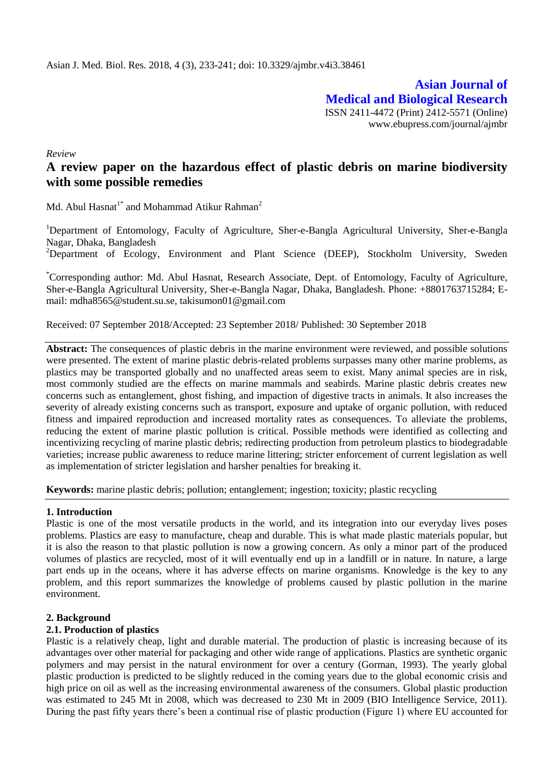**Asian Journal of Medical and Biological Research** ISSN 2411-4472 (Print) 2412-5571 (Online) www.ebupress.com/journal/ajmbr

*Review*

# **A review paper on the hazardous effect of plastic debris on marine biodiversity with some possible remedies**

Md. Abul Hasnat<sup>1\*</sup> and Mohammad Atikur Rahman<sup>2</sup>

<sup>1</sup>Department of Entomology, Faculty of Agriculture, Sher-e-Bangla Agricultural University, Sher-e-Bangla Nagar, Dhaka, Bangladesh

<sup>2</sup>Department of Ecology, Environment and Plant Science (DEEP), Stockholm University, Sweden

\*Corresponding author: Md. Abul Hasnat, Research Associate, Dept. of Entomology, Faculty of Agriculture, Sher-e-Bangla Agricultural University, Sher-e-Bangla Nagar, Dhaka, Bangladesh. Phone: +8801763715284; Email: [mdha8565@student.su.se,](mailto:mdha8565@student.su.se) [takisumon01@gmail.com](mailto:takisumon01@gmail.com)

Received: 07 September 2018/Accepted: 23 September 2018/ Published: 30 September 2018

**Abstract:** The consequences of plastic debris in the marine environment were reviewed, and possible solutions were presented. The extent of marine plastic debris-related problems surpasses many other marine problems, as plastics may be transported globally and no unaffected areas seem to exist. Many animal species are in risk, most commonly studied are the effects on marine mammals and seabirds. Marine plastic debris creates new concerns such as entanglement, ghost fishing, and impaction of digestive tracts in animals. It also increases the severity of already existing concerns such as transport, exposure and uptake of organic pollution, with reduced fitness and impaired reproduction and increased mortality rates as consequences. To alleviate the problems, reducing the extent of marine plastic pollution is critical. Possible methods were identified as collecting and incentivizing recycling of marine plastic debris; redirecting production from petroleum plastics to biodegradable varieties; increase public awareness to reduce marine littering; stricter enforcement of current legislation as well as implementation of stricter legislation and harsher penalties for breaking it.

**Keywords:** marine plastic debris; pollution; entanglement; ingestion; toxicity; plastic recycling

## **1. Introduction**

Plastic is one of the most versatile products in the world, and its integration into our everyday lives poses problems. Plastics are easy to manufacture, cheap and durable. This is what made plastic materials popular, but it is also the reason to that plastic pollution is now a growing concern. As only a minor part of the produced volumes of plastics are recycled, most of it will eventually end up in a landfill or in nature. In nature, a large part ends up in the oceans, where it has adverse effects on marine organisms. Knowledge is the key to any problem, and this report summarizes the knowledge of problems caused by plastic pollution in the marine environment.

## **2. Background**

## **2.1. Production of plastics**

Plastic is a relatively cheap, light and durable material. The production of plastic is increasing because of its advantages over other material for packaging and other wide range of applications. Plastics are synthetic organic polymers and may persist in the natural environment for over a century (Gorman, 1993). The yearly global plastic production is predicted to be slightly reduced in the coming years due to the global economic crisis and high price on oil as well as the increasing environmental awareness of the consumers. Global plastic production was estimated to 245 Mt in 2008, which was decreased to 230 Mt in 2009 (BIO Intelligence Service, 2011). During the past fifty years there"s been a continual rise of plastic production (Figure 1) where EU accounted for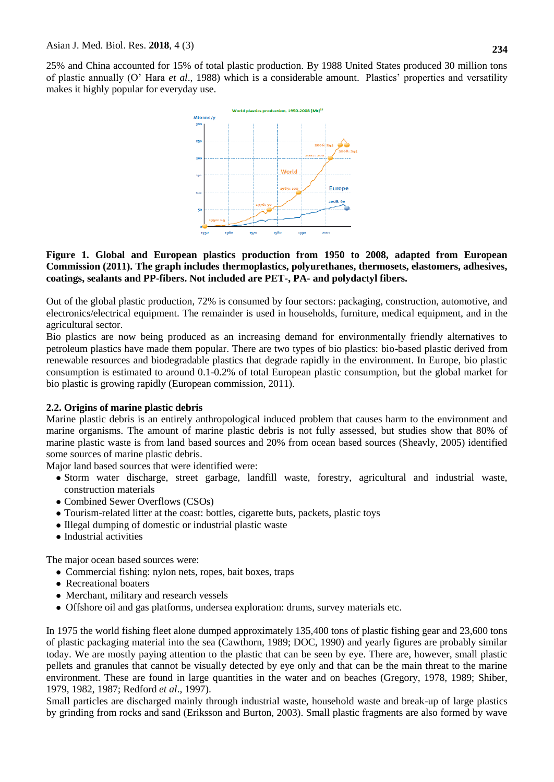25% and China accounted for 15% of total plastic production. By 1988 United States produced 30 million tons of plastic annually (O" Hara *et al*., 1988) which is a considerable amount. Plastics" properties and versatility makes it highly popular for everyday use.



#### **Figure 1. Global and European plastics production from 1950 to 2008, adapted from European Commission (2011). The graph includes thermoplastics, polyurethanes, thermosets, elastomers, adhesives, coatings, sealants and PP-fibers. Not included are PET-, PA- and polydactyl fibers.**

Out of the global plastic production, 72% is consumed by four sectors: packaging, construction, automotive, and electronics/electrical equipment. The remainder is used in households, furniture, medical equipment, and in the agricultural sector.

Bio plastics are now being produced as an increasing demand for environmentally friendly alternatives to petroleum plastics have made them popular. There are two types of bio plastics: bio-based plastic derived from renewable resources and biodegradable plastics that degrade rapidly in the environment. In Europe, bio plastic consumption is estimated to around 0.1-0.2% of total European plastic consumption, but the global market for bio plastic is growing rapidly (European commission, 2011).

# **2.2. Origins of marine plastic debris**

Marine plastic debris is an entirely anthropological induced problem that causes harm to the environment and marine organisms. The amount of marine plastic debris is not fully assessed, but studies show that 80% of marine plastic waste is from land based sources and 20% from ocean based sources (Sheavly, 2005) identified some sources of marine plastic debris.

Major land based sources that were identified were:

- Storm water discharge, street garbage, landfill waste, forestry, agricultural and industrial waste, construction materials
- Combined Sewer Overflows (CSOs)
- Tourism-related litter at the coast: bottles, cigarette buts, packets, plastic toys
- Illegal dumping of domestic or industrial plastic waste
- Industrial activities

The major ocean based sources were:

- Commercial fishing: nylon nets, ropes, bait boxes, traps
- Recreational boaters
- Merchant, military and research vessels
- Offshore oil and gas platforms, undersea exploration: drums, survey materials etc.

In 1975 the world fishing fleet alone dumped approximately 135,400 tons of plastic fishing gear and 23,600 tons of plastic packaging material into the sea (Cawthorn, 1989; DOC, 1990) and yearly figures are probably similar today. We are mostly paying attention to the plastic that can be seen by eye. There are, however, small plastic pellets and granules that cannot be visually detected by eye only and that can be the main threat to the marine environment. These are found in large quantities in the water and on beaches (Gregory, 1978, 1989; Shiber, 1979, 1982, 1987; Redford *et al*., 1997).

Small particles are discharged mainly through industrial waste, household waste and break-up of large plastics by grinding from rocks and sand (Eriksson and Burton, 2003). Small plastic fragments are also formed by wave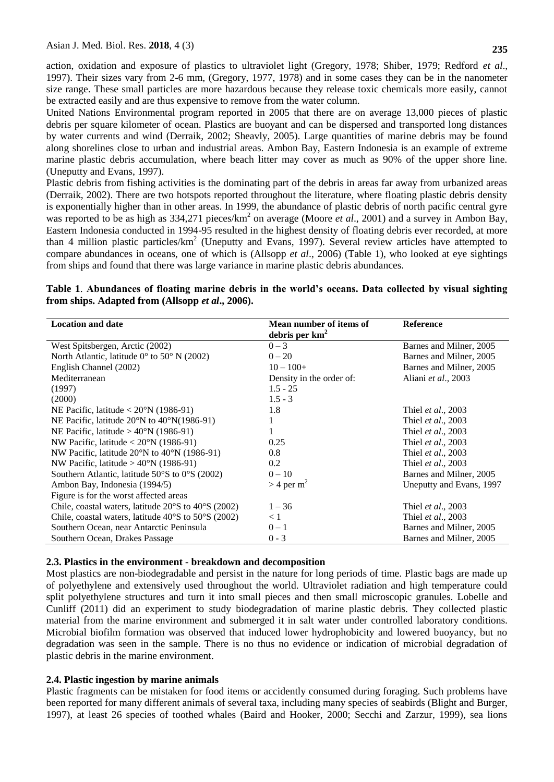action, oxidation and exposure of plastics to ultraviolet light (Gregory, 1978; Shiber, 1979; Redford *et al*., 1997). Their sizes vary from 2-6 mm, (Gregory, 1977, 1978) and in some cases they can be in the nanometer size range. These small particles are more hazardous because they release toxic chemicals more easily, cannot be extracted easily and are thus expensive to remove from the water column.

United Nations Environmental program reported in 2005 that there are on average 13,000 pieces of plastic debris per square kilometer of ocean. Plastics are buoyant and can be dispersed and transported long distances by water currents and wind (Derraik, 2002; Sheavly, 2005). Large quantities of marine debris may be found along shorelines close to urban and industrial areas. Ambon Bay, Eastern Indonesia is an example of extreme marine plastic debris accumulation, where beach litter may cover as much as 90% of the upper shore line. (Uneputty and Evans, 1997).

Plastic debris from fishing activities is the dominating part of the debris in areas far away from urbanized areas (Derraik, 2002). There are two hotspots reported throughout the literature, where floating plastic debris density is exponentially higher than in other areas. In 1999, the abundance of plastic debris of north pacific central gyre was reported to be as high as 334,271 pieces/km<sup>2</sup> on average (Moore *et al.*, 2001) and a survey in Ambon Bay, Eastern Indonesia conducted in 1994-95 resulted in the highest density of floating debris ever recorded, at more than 4 million plastic particles/ $km^2$  (Uneputty and Evans, 1997). Several review articles have attempted to compare abundances in oceans, one of which is (Allsopp *et al*., 2006) (Table 1), who looked at eye sightings from ships and found that there was large variance in marine plastic debris abundances.

# **Table 1**. **Abundances of floating marine debris in the world's oceans. Data collected by visual sighting from ships. Adapted from (Allsopp** *et al***., 2006).**

| <b>Location and date</b>                                                | Mean number of items of  | <b>Reference</b>           |
|-------------------------------------------------------------------------|--------------------------|----------------------------|
|                                                                         | debris per $km2$         |                            |
| West Spitsbergen, Arctic (2002)                                         | $0 - 3$                  | Barnes and Milner, 2005    |
| North Atlantic, latitude $0^{\circ}$ to 50° N (2002)                    | $0 - 20$                 | Barnes and Milner, 2005    |
| English Channel (2002)                                                  | $10 - 100 +$             | Barnes and Milner, 2005    |
| Mediterranean                                                           | Density in the order of: | Aliani et al., 2003        |
| (1997)                                                                  | $1.5 - 25$               |                            |
| (2000)                                                                  | $1.5 - 3$                |                            |
| NE Pacific, latitude $< 20^{\circ}$ N (1986-91)                         | 1.8                      | Thiel <i>et al.</i> , 2003 |
| NE Pacific, latitude $20^{\circ}$ N to $40^{\circ}$ N(1986-91)          |                          | Thiel et al., 2003         |
| NE Pacific, latitude $> 40^{\circ}$ N (1986-91)                         |                          | Thiel <i>et al.</i> , 2003 |
| NW Pacific, latitude $< 20^{\circ}$ N (1986-91)                         | 0.25                     | Thiel <i>et al.</i> , 2003 |
| NW Pacific, latitude $20^{\circ}$ N to $40^{\circ}$ N (1986-91)         | 0.8                      | Thiel et al., 2003         |
| NW Pacific, latitude $> 40^{\circ}$ N (1986-91)                         | 0.2                      | Thiel et al., 2003         |
| Southern Atlantic, latitude $50^{\circ}$ S to $0^{\circ}$ S (2002)      | $0 - 10$                 | Barnes and Milner, 2005    |
| Ambon Bay, Indonesia (1994/5)                                           | $>$ 4 per m <sup>2</sup> | Uneputty and Evans, 1997   |
| Figure is for the worst affected areas                                  |                          |                            |
| Chile, coastal waters, latitude $20^{\circ}$ S to $40^{\circ}$ S (2002) | $1 - 36$                 | Thiel <i>et al.</i> , 2003 |
| Chile, coastal waters, latitude $40^{\circ}$ S to $50^{\circ}$ S (2002) | < 1                      | Thiel <i>et al.</i> , 2003 |
| Southern Ocean, near Antarctic Peninsula                                | $0 - 1$                  | Barnes and Milner, 2005    |
| Southern Ocean, Drakes Passage                                          | $0 - 3$                  | Barnes and Milner, 2005    |

## **2.3. Plastics in the environment - breakdown and decomposition**

Most plastics are non-biodegradable and persist in the nature for long periods of time. Plastic bags are made up of polyethylene and extensively used throughout the world. Ultraviolet radiation and high temperature could split polyethylene structures and turn it into small pieces and then small microscopic granules. Lobelle and Cunliff (2011) did an experiment to study biodegradation of marine plastic debris. They collected plastic material from the marine environment and submerged it in salt water under controlled laboratory conditions. Microbial biofilm formation was observed that induced lower hydrophobicity and lowered buoyancy, but no degradation was seen in the sample. There is no thus no evidence or indication of microbial degradation of plastic debris in the marine environment.

## **2.4. Plastic ingestion by marine animals**

Plastic fragments can be mistaken for food items or accidently consumed during foraging. Such problems have been reported for many different animals of several taxa, including many species of seabirds (Blight and Burger, 1997), at least 26 species of toothed whales (Baird and Hooker, 2000; Secchi and Zarzur, 1999), sea lions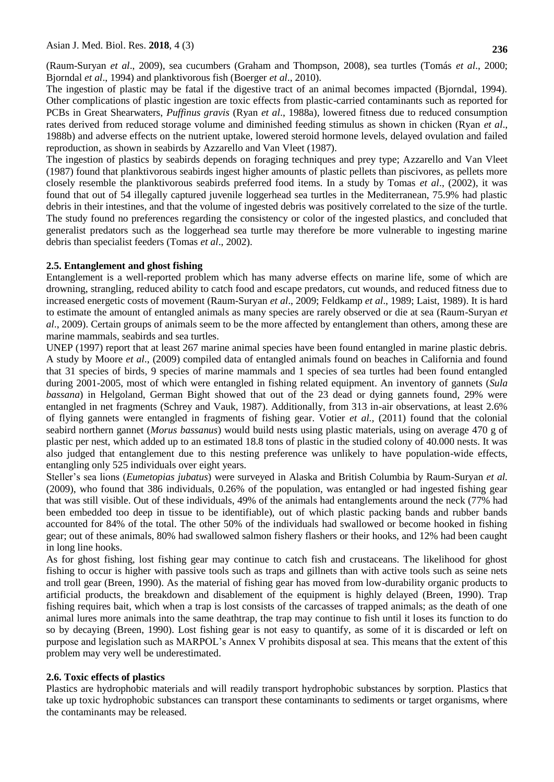(Raum-Suryan *et al*., 2009), sea cucumbers (Graham and Thompson, 2008), sea turtles (Tomás *et al*., 2000; Bjorndal *et al*., 1994) and planktivorous fish (Boerger *et al*., 2010).

The ingestion of plastic may be fatal if the digestive tract of an animal becomes impacted (Bjorndal, 1994). Other complications of plastic ingestion are toxic effects from plastic-carried contaminants such as reported for PCBs in Great Shearwaters, *Puffinus gravis* (Ryan *et al*., 1988a), lowered fitness due to reduced consumption rates derived from reduced storage volume and diminished feeding stimulus as shown in chicken (Ryan *et al*., 1988b) and adverse effects on the nutrient uptake, lowered steroid hormone levels, delayed ovulation and failed reproduction, as shown in seabirds by Azzarello and Van Vleet (1987).

The ingestion of plastics by seabirds depends on foraging techniques and prey type; Azzarello and Van Vleet (1987) found that planktivorous seabirds ingest higher amounts of plastic pellets than piscivores, as pellets more closely resemble the planktivorous seabirds preferred food items. In a study by Tomas *et al*., (2002), it was found that out of 54 illegally captured juvenile loggerhead sea turtles in the Mediterranean, 75.9% had plastic debris in their intestines, and that the volume of ingested debris was positively correlated to the size of the turtle. The study found no preferences regarding the consistency or color of the ingested plastics, and concluded that generalist predators such as the loggerhead sea turtle may therefore be more vulnerable to ingesting marine debris than specialist feeders (Tomas *et al*., 2002).

# **2.5. Entanglement and ghost fishing**

Entanglement is a well-reported problem which has many adverse effects on marine life, some of which are drowning, strangling, reduced ability to catch food and escape predators, cut wounds, and reduced fitness due to increased energetic costs of movement (Raum-Suryan *et al*., 2009; Feldkamp *et al*., 1989; Laist, 1989). It is hard to estimate the amount of entangled animals as many species are rarely observed or die at sea (Raum-Suryan *et al*., 2009). Certain groups of animals seem to be the more affected by entanglement than others, among these are marine mammals, seabirds and sea turtles.

UNEP (1997) report that at least 267 marine animal species have been found entangled in marine plastic debris. A study by Moore *et al*., (2009) compiled data of entangled animals found on beaches in California and found that 31 species of birds, 9 species of marine mammals and 1 species of sea turtles had been found entangled during 2001-2005, most of which were entangled in fishing related equipment. An inventory of gannets (*Sula bassana*) in Helgoland, German Bight showed that out of the 23 dead or dying gannets found, 29% were entangled in net fragments (Schrey and Vauk, 1987). Additionally, from 313 in-air observations, at least 2.6% of flying gannets were entangled in fragments of fishing gear. Votier *et al.,* (2011) found that the colonial seabird northern gannet (*Morus bassanus*) would build nests using plastic materials, using on average 470 g of plastic per nest, which added up to an estimated 18.8 tons of plastic in the studied colony of 40.000 nests. It was also judged that entanglement due to this nesting preference was unlikely to have population-wide effects, entangling only 525 individuals over eight years.

Steller"s sea lions (*Eumetopias jubatus*) were surveyed in Alaska and British Columbia by Raum-Suryan *et al.* (2009), who found that 386 individuals, 0.26% of the population, was entangled or had ingested fishing gear that was still visible. Out of these individuals, 49% of the animals had entanglements around the neck (77% had been embedded too deep in tissue to be identifiable), out of which plastic packing bands and rubber bands accounted for 84% of the total. The other 50% of the individuals had swallowed or become hooked in fishing gear; out of these animals, 80% had swallowed salmon fishery flashers or their hooks, and 12% had been caught in long line hooks.

As for ghost fishing, lost fishing gear may continue to catch fish and crustaceans. The likelihood for ghost fishing to occur is higher with passive tools such as traps and gillnets than with active tools such as seine nets and troll gear (Breen, 1990). As the material of fishing gear has moved from low-durability organic products to artificial products, the breakdown and disablement of the equipment is highly delayed (Breen, 1990). Trap fishing requires bait, which when a trap is lost consists of the carcasses of trapped animals; as the death of one animal lures more animals into the same deathtrap, the trap may continue to fish until it loses its function to do so by decaying (Breen, 1990). Lost fishing gear is not easy to quantify, as some of it is discarded or left on purpose and legislation such as MARPOL"s Annex V prohibits disposal at sea. This means that the extent of this problem may very well be underestimated.

## **2.6. Toxic effects of plastics**

Plastics are hydrophobic materials and will readily transport hydrophobic substances by sorption. Plastics that take up toxic hydrophobic substances can transport these contaminants to sediments or target organisms, where the contaminants may be released.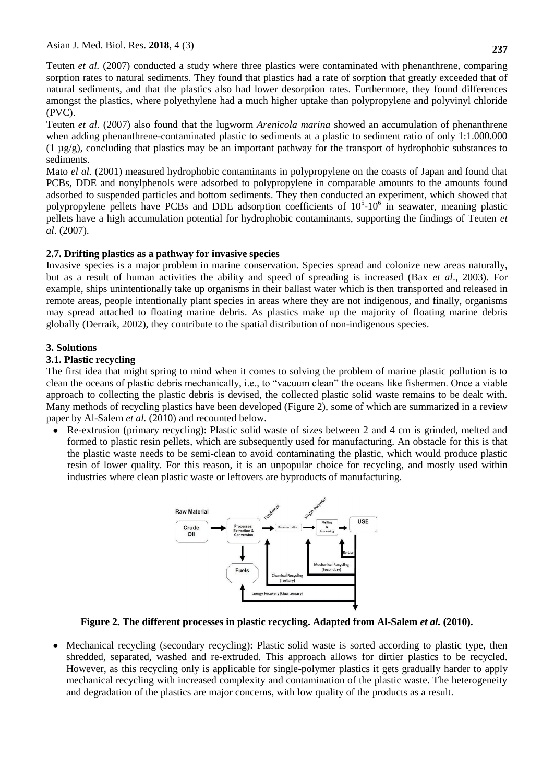Teuten *et al.* (2007) conducted a study where three plastics were contaminated with phenanthrene, comparing sorption rates to natural sediments. They found that plastics had a rate of sorption that greatly exceeded that of natural sediments, and that the plastics also had lower desorption rates. Furthermore, they found differences amongst the plastics, where polyethylene had a much higher uptake than polypropylene and polyvinyl chloride (PVC).

Teuten *et al.* (2007) also found that the lugworm *Arenicola marina* showed an accumulation of phenanthrene when adding phenanthrene-contaminated plastic to sediments at a plastic to sediment ratio of only 1:1.000.000 (1 µg/g), concluding that plastics may be an important pathway for the transport of hydrophobic substances to sediments.

Mato *el al.* (2001) measured hydrophobic contaminants in polypropylene on the coasts of Japan and found that PCBs, DDE and nonylphenols were adsorbed to polypropylene in comparable amounts to the amounts found adsorbed to suspended particles and bottom sediments. They then conducted an experiment, which showed that polypropylene pellets have PCBs and DDE adsorption coefficients of  $10<sup>5</sup>$ -10<sup>6</sup> in seawater, meaning plastic pellets have a high accumulation potential for hydrophobic contaminants, supporting the findings of Teuten *et al*. (2007).

# **2.7. Drifting plastics as a pathway for invasive species**

Invasive species is a major problem in marine conservation. Species spread and colonize new areas naturally, but as a result of human activities the ability and speed of spreading is increased (Bax *et al*., 2003). For example, ships unintentionally take up organisms in their ballast water which is then transported and released in remote areas, people intentionally plant species in areas where they are not indigenous, and finally, organisms may spread attached to floating marine debris. As plastics make up the majority of floating marine debris globally (Derraik, 2002), they contribute to the spatial distribution of non-indigenous species.

# **3. Solutions**

## **3.1. Plastic recycling**

The first idea that might spring to mind when it comes to solving the problem of marine plastic pollution is to clean the oceans of plastic debris mechanically, i.e., to "vacuum clean" the oceans like fishermen. Once a viable approach to collecting the plastic debris is devised, the collected plastic solid waste remains to be dealt with. Many methods of recycling plastics have been developed (Figure 2), some of which are summarized in a review paper by Al-Salem *et al.* (2010) and recounted below.

● Re-extrusion (primary recycling): Plastic solid waste of sizes between 2 and 4 cm is grinded, melted and formed to plastic resin pellets, which are subsequently used for manufacturing. An obstacle for this is that the plastic waste needs to be semi-clean to avoid contaminating the plastic, which would produce plastic resin of lower quality. For this reason, it is an unpopular choice for recycling, and mostly used within industries where clean plastic waste or leftovers are byproducts of manufacturing.



**Figure 2. The different processes in plastic recycling. Adapted from Al-Salem** *et al.* **(2010).**

• Mechanical recycling (secondary recycling): Plastic solid waste is sorted according to plastic type, then shredded, separated, washed and re-extruded. This approach allows for dirtier plastics to be recycled. However, as this recycling only is applicable for single-polymer plastics it gets gradually harder to apply mechanical recycling with increased complexity and contamination of the plastic waste. The heterogeneity and degradation of the plastics are major concerns, with low quality of the products as a result.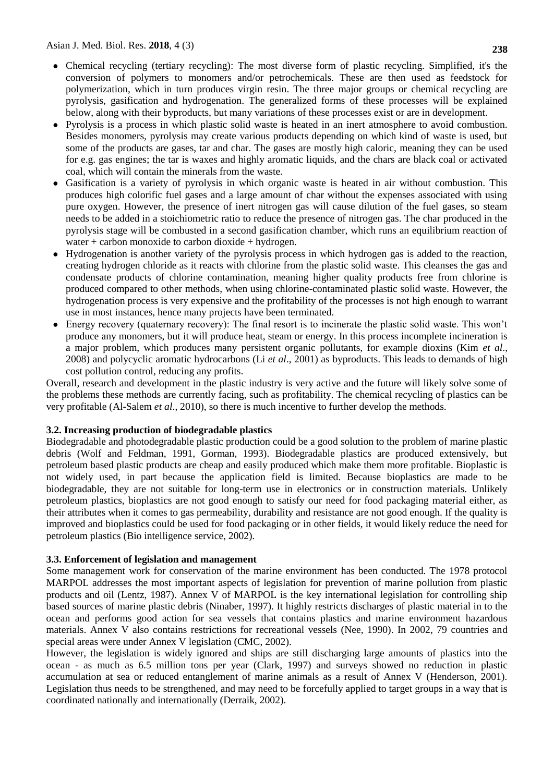- Chemical recycling (tertiary recycling): The most diverse form of plastic recycling. Simplified, it's the conversion of polymers to monomers and/or petrochemicals. These are then used as feedstock for polymerization, which in turn produces virgin resin. The three major groups or chemical recycling are pyrolysis, gasification and hydrogenation. The generalized forms of these processes will be explained below, along with their byproducts, but many variations of these processes exist or are in development.
- Pyrolysis is a process in which plastic solid waste is heated in an inert atmosphere to avoid combustion. Besides monomers, pyrolysis may create various products depending on which kind of waste is used, but some of the products are gases, tar and char. The gases are mostly high caloric, meaning they can be used for e.g. gas engines; the tar is waxes and highly aromatic liquids, and the chars are black coal or activated coal, which will contain the minerals from the waste.
- Gasification is a variety of pyrolysis in which organic waste is heated in air without combustion. This produces high colorific fuel gases and a large amount of char without the expenses associated with using pure oxygen. However, the presence of inert nitrogen gas will cause dilution of the fuel gases, so steam needs to be added in a stoichiometric ratio to reduce the presence of nitrogen gas. The char produced in the pyrolysis stage will be combusted in a second gasification chamber, which runs an equilibrium reaction of water  $+$  carbon monoxide to carbon dioxide  $+$  hydrogen.
- Hydrogenation is another variety of the pyrolysis process in which hydrogen gas is added to the reaction, creating hydrogen chloride as it reacts with chlorine from the plastic solid waste. This cleanses the gas and condensate products of chlorine contamination, meaning higher quality products free from chlorine is produced compared to other methods, when using chlorine-contaminated plastic solid waste. However, the hydrogenation process is very expensive and the profitability of the processes is not high enough to warrant use in most instances, hence many projects have been terminated.
- Energy recovery (quaternary recovery): The final resort is to incinerate the plastic solid waste. This won"t produce any monomers, but it will produce heat, steam or energy. In this process incomplete incineration is a major problem, which produces many persistent organic pollutants, for example dioxins (Kim *et al*., 2008) and polycyclic aromatic hydrocarbons (Li *et al*., 2001) as byproducts. This leads to demands of high cost pollution control, reducing any profits.

Overall, research and development in the plastic industry is very active and the future will likely solve some of the problems these methods are currently facing, such as profitability. The chemical recycling of plastics can be very profitable (Al-Salem *et al*., 2010), so there is much incentive to further develop the methods.

## **3.2. Increasing production of biodegradable plastics**

Biodegradable and photodegradable plastic production could be a good solution to the problem of marine plastic debris (Wolf and Feldman, 1991, Gorman, 1993). Biodegradable plastics are produced extensively, but petroleum based plastic products are cheap and easily produced which make them more profitable. Bioplastic is not widely used, in part because the application field is limited. Because bioplastics are made to be biodegradable, they are not suitable for long-term use in electronics or in construction materials. Unlikely petroleum plastics, bioplastics are not good enough to satisfy our need for food packaging material either, as their attributes when it comes to gas permeability, durability and resistance are not good enough. If the quality is improved and bioplastics could be used for food packaging or in other fields, it would likely reduce the need for petroleum plastics (Bio intelligence service, 2002).

## **3.3. Enforcement of legislation and management**

Some management work for conservation of the marine environment has been conducted. The 1978 protocol MARPOL addresses the most important aspects of legislation for prevention of marine pollution from plastic products and oil (Lentz, 1987). Annex V of MARPOL is the key international legislation for controlling ship based sources of marine plastic debris (Ninaber, 1997). It highly restricts discharges of plastic material in to the ocean and performs good action for sea vessels that contains plastics and marine environment hazardous materials. Annex V also contains restrictions for recreational vessels (Nee, 1990). In 2002, 79 countries and special areas were under Annex V legislation (CMC, 2002).

However, the legislation is widely ignored and ships are still discharging large amounts of plastics into the ocean - as much as 6.5 million tons per year (Clark, 1997) and surveys showed no reduction in plastic accumulation at sea or reduced entanglement of marine animals as a result of Annex V (Henderson, 2001). Legislation thus needs to be strengthened, and may need to be forcefully applied to target groups in a way that is coordinated nationally and internationally (Derraik, 2002).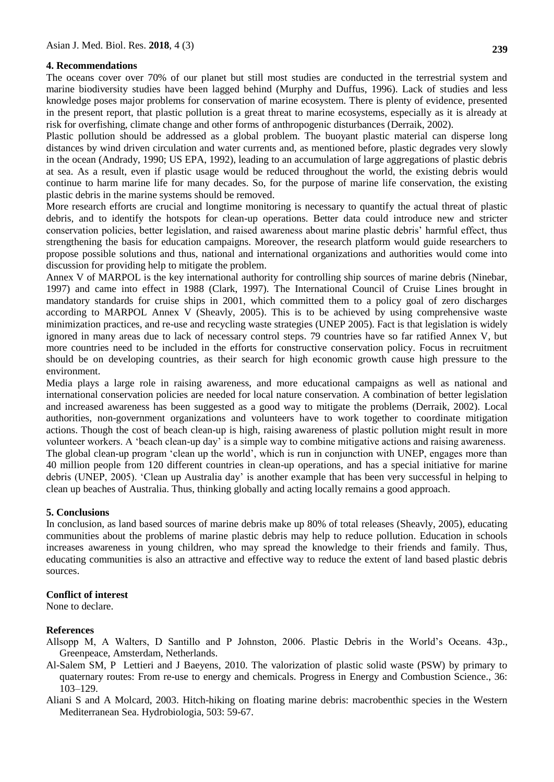#### **4. Recommendations**

The oceans cover over 70% of our planet but still most studies are conducted in the terrestrial system and marine biodiversity studies have been lagged behind (Murphy and Duffus, 1996). Lack of studies and less knowledge poses major problems for conservation of marine ecosystem. There is plenty of evidence, presented in the present report, that plastic pollution is a great threat to marine ecosystems, especially as it is already at risk for overfishing, climate change and other forms of anthropogenic disturbances (Derraik, 2002).

Plastic pollution should be addressed as a global problem. The buoyant plastic material can disperse long distances by wind driven circulation and water currents and, as mentioned before, plastic degrades very slowly in the ocean (Andrady, 1990; US EPA, 1992), leading to an accumulation of large aggregations of plastic debris at sea. As a result, even if plastic usage would be reduced throughout the world, the existing debris would continue to harm marine life for many decades. So, for the purpose of marine life conservation, the existing plastic debris in the marine systems should be removed.

More research efforts are crucial and longtime monitoring is necessary to quantify the actual threat of plastic debris, and to identify the hotspots for clean-up operations. Better data could introduce new and stricter conservation policies, better legislation, and raised awareness about marine plastic debris" harmful effect, thus strengthening the basis for education campaigns. Moreover, the research platform would guide researchers to propose possible solutions and thus, national and international organizations and authorities would come into discussion for providing help to mitigate the problem.

Annex V of MARPOL is the key international authority for controlling ship sources of marine debris (Ninebar, 1997) and came into effect in 1988 (Clark, 1997). The International Council of Cruise Lines brought in mandatory standards for cruise ships in 2001, which committed them to a policy goal of zero discharges according to MARPOL Annex V (Sheavly, 2005). This is to be achieved by using comprehensive waste minimization practices, and re-use and recycling waste strategies (UNEP 2005). Fact is that legislation is widely ignored in many areas due to lack of necessary control steps. 79 countries have so far ratified Annex V, but more countries need to be included in the efforts for constructive conservation policy. Focus in recruitment should be on developing countries, as their search for high economic growth cause high pressure to the environment.

Media plays a large role in raising awareness, and more educational campaigns as well as national and international conservation policies are needed for local nature conservation. A combination of better legislation and increased awareness has been suggested as a good way to mitigate the problems (Derraik, 2002). Local authorities, non-government organizations and volunteers have to work together to coordinate mitigation actions. Though the cost of beach clean-up is high, raising awareness of plastic pollution might result in more volunteer workers. A "beach clean-up day" is a simple way to combine mitigative actions and raising awareness. The global clean-up program 'clean up the world', which is run in conjunction with UNEP, engages more than 40 million people from 120 different countries in clean-up operations, and has a special initiative for marine debris (UNEP, 2005). "Clean up Australia day" is another example that has been very successful in helping to clean up beaches of Australia. Thus, thinking globally and acting locally remains a good approach.

#### **5. Conclusions**

In conclusion, as land based sources of marine debris make up 80% of total releases (Sheavly, 2005), educating communities about the problems of marine plastic debris may help to reduce pollution. Education in schools increases awareness in young children, who may spread the knowledge to their friends and family. Thus, educating communities is also an attractive and effective way to reduce the extent of land based plastic debris sources.

#### **Conflict of interest**

None to declare.

#### **References**

- Allsopp M, A Walters, D Santillo and P Johnston, 2006. Plastic Debris in the World"s Oceans. 43p., Greenpeace, Amsterdam, Netherlands.
- Al-Salem SM, P Lettieri and J Baeyens, 2010. The valorization of plastic solid waste (PSW) by primary to quaternary routes: From re-use to energy and chemicals. Progress in Energy and Combustion Science., 36: 103–129.
- Aliani S and A Molcard, 2003. Hitch-hiking on floating marine debris: macrobenthic species in the Western Mediterranean Sea. Hydrobiologia, 503: 59-67.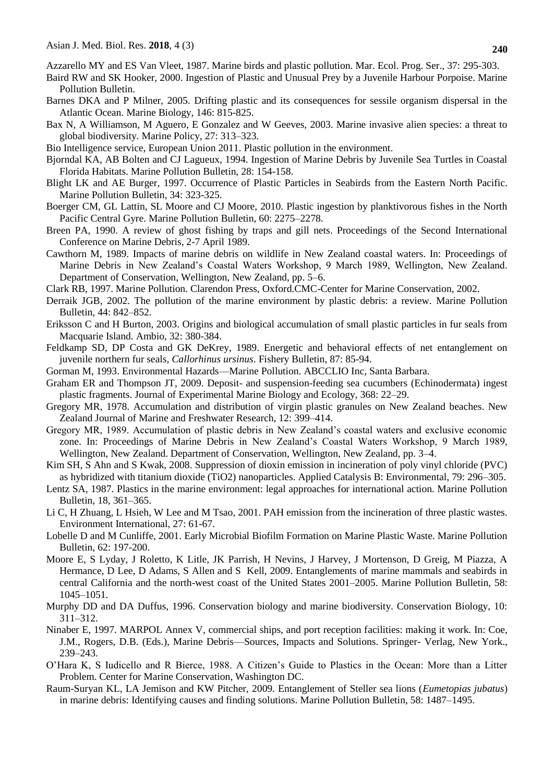Azzarello MY and ES Van Vleet, 1987. Marine birds and plastic pollution. Mar. Ecol. Prog. Ser., 37: 295-303.

- Baird RW and SK Hooker, 2000. Ingestion of Plastic and Unusual Prey by a Juvenile Harbour Porpoise. Marine Pollution Bulletin.
- Barnes DKA and P Milner, 2005. Drifting plastic and its consequences for sessile organism dispersal in the Atlantic Ocean. Marine Biology, 146: 815-825.
- Bax N, A Williamson, M Aguero, E Gonzalez and W Geeves, 2003. Marine invasive alien species: a threat to global biodiversity. Marine Policy, 27: 313–323.
- Bio Intelligence service, European Union 2011. Plastic pollution in the environment.
- Bjorndal KA, AB Bolten and CJ Lagueux, 1994. Ingestion of Marine Debris by Juvenile Sea Turtles in Coastal Florida Habitats. Marine Pollution Bulletin, 28: 154-158.
- Blight LK and AE Burger, 1997. Occurrence of Plastic Particles in Seabirds from the Eastern North Pacific. Marine Pollution Bulletin, 34: 323-325.
- Boerger CM, GL Lattin, SL Moore and CJ Moore, 2010. Plastic ingestion by planktivorous fishes in the North Pacific Central Gyre. Marine Pollution Bulletin, 60: 2275–2278.
- Breen PA, 1990. A review of ghost fishing by traps and gill nets. Proceedings of the Second International Conference on Marine Debris, 2-7 April 1989.
- Cawthorn M, 1989. Impacts of marine debris on wildlife in New Zealand coastal waters. In: Proceedings of Marine Debris in New Zealand"s Coastal Waters Workshop, 9 March 1989, Wellington, New Zealand. Department of Conservation, Wellington, New Zealand, pp. 5–6.
- Clark RB, 1997. Marine Pollution. Clarendon Press, Oxford.CMC-Center for Marine Conservation, 2002.
- Derraik JGB, 2002. The pollution of the marine environment by plastic debris: a review. Marine Pollution Bulletin, 44: 842–852.
- Eriksson C and H Burton, 2003. Origins and biological accumulation of small plastic particles in fur seals from Macquarie Island. Ambio, 32: 380-384.
- Feldkamp SD, DP Costa and GK DeKrey, 1989. Energetic and behavioral effects of net entanglement on juvenile northern fur seals, *Callorhinus ursinus*. Fishery Bulletin, 87: 85-94.
- Gorman M, 1993. Environmental Hazards––Marine Pollution. ABCCLIO Inc, Santa Barbara.
- Graham ER and Thompson JT, 2009. Deposit- and suspension-feeding sea cucumbers (Echinodermata) ingest plastic fragments. Journal of Experimental Marine Biology and Ecology, 368: 22–29.
- Gregory MR, 1978. Accumulation and distribution of virgin plastic granules on New Zealand beaches. New Zealand Journal of Marine and Freshwater Research, 12: 399–414.
- Gregory MR, 1989. Accumulation of plastic debris in New Zealand"s coastal waters and exclusive economic zone. In: Proceedings of Marine Debris in New Zealand"s Coastal Waters Workshop, 9 March 1989, Wellington, New Zealand. Department of Conservation, Wellington, New Zealand, pp. 3–4.
- Kim SH, S Ahn and S Kwak, 2008. Suppression of dioxin emission in incineration of poly vinyl chloride (PVC) as hybridized with titanium dioxide (TiO2) nanoparticles. Applied Catalysis B: Environmental, 79: 296–305.
- Lentz SA, 1987. Plastics in the marine environment: legal approaches for international action. Marine Pollution Bulletin, 18, 361–365.
- Li C, H Zhuang, L Hsieh, W Lee and M Tsao, 2001. PAH emission from the incineration of three plastic wastes. Environment International, 27: 61-67.
- Lobelle D and M Cunliffe, 2001. Early Microbial Biofilm Formation on Marine Plastic Waste. Marine Pollution Bulletin, 62: 197-200.
- Moore E, S Lyday, J Roletto, K Litle, JK Parrish, H Nevins, J Harvey, J Mortenson, D Greig, M Piazza, A Hermance, D Lee, D Adams, S Allen and S Kell, 2009. Entanglements of marine mammals and seabirds in central California and the north-west coast of the United States 2001–2005. Marine Pollution Bulletin, 58: 1045–1051.
- Murphy DD and DA Duffus, 1996. Conservation biology and marine biodiversity. Conservation Biology, 10: 311–312.
- Ninaber E, 1997. MARPOL Annex V, commercial ships, and port reception facilities: making it work. In: Coe, J.M., Rogers, D.B. (Eds.), Marine Debris––Sources, Impacts and Solutions. Springer- Verlag, New York., 239–243.
- O"Hara K, S Iudicello and R Bierce, 1988. A Citizen"s Guide to Plastics in the Ocean: More than a Litter Problem. Center for Marine Conservation, Washington DC.
- Raum-Suryan KL, LA Jemison and KW Pitcher, 2009. Entanglement of Steller sea lions (*Eumetopias jubatus*) in marine debris: Identifying causes and finding solutions. Marine Pollution Bulletin, 58: 1487–1495.